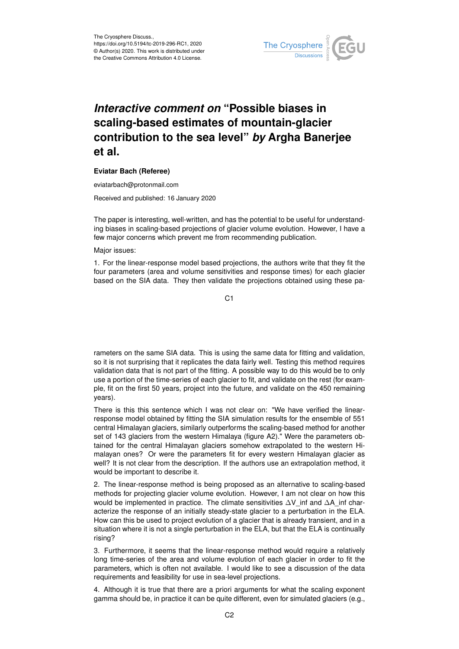

## *Interactive comment on* **"Possible biases in scaling-based estimates of mountain-glacier contribution to the sea level"** *by* **Argha Banerjee et al.**

## **Eviatar Bach (Referee)**

eviatarbach@protonmail.com

Received and published: 16 January 2020

The paper is interesting, well-written, and has the potential to be useful for understanding biases in scaling-based projections of glacier volume evolution. However, I have a few major concerns which prevent me from recommending publication.

Major issues:

1. For the linear-response model based projections, the authors write that they fit the four parameters (area and volume sensitivities and response times) for each glacier based on the SIA data. They then validate the projections obtained using these pa-

C1

rameters on the same SIA data. This is using the same data for fitting and validation, so it is not surprising that it replicates the data fairly well. Testing this method requires validation data that is not part of the fitting. A possible way to do this would be to only use a portion of the time-series of each glacier to fit, and validate on the rest (for example, fit on the first 50 years, project into the future, and validate on the 450 remaining years).

There is this this sentence which I was not clear on: "We have verified the linearresponse model obtained by fitting the SIA simulation results for the ensemble of 551 central Himalayan glaciers, similarly outperforms the scaling-based method for another set of 143 glaciers from the western Himalaya (figure A2)." Were the parameters obtained for the central Himalayan glaciers somehow extrapolated to the western Himalayan ones? Or were the parameters fit for every western Himalayan glacier as well? It is not clear from the description. If the authors use an extrapolation method, it would be important to describe it.

2. The linear-response method is being proposed as an alternative to scaling-based methods for projecting glacier volume evolution. However, I am not clear on how this would be implemented in practice. The climate sensitivities ∆V inf and ∆A\_inf characterize the response of an initially steady-state glacier to a perturbation in the ELA. How can this be used to project evolution of a glacier that is already transient, and in a situation where it is not a single perturbation in the ELA, but that the ELA is continually rising?

3. Furthermore, it seems that the linear-response method would require a relatively long time-series of the area and volume evolution of each glacier in order to fit the parameters, which is often not available. I would like to see a discussion of the data requirements and feasibility for use in sea-level projections.

4. Although it is true that there are a priori arguments for what the scaling exponent gamma should be, in practice it can be quite different, even for simulated glaciers (e.g.,